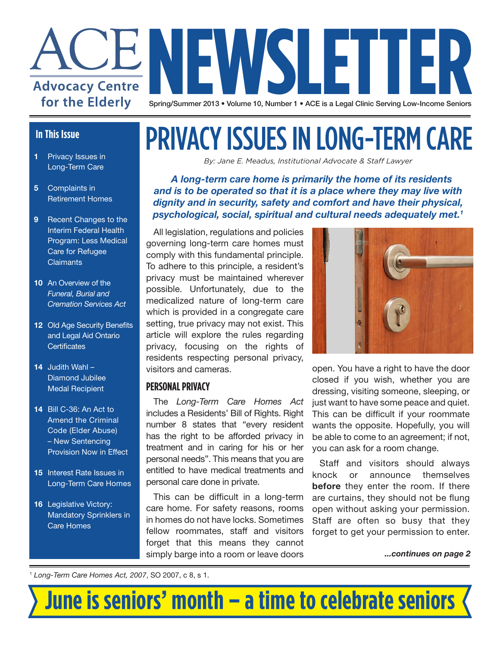

#### **In This Issue**

- **1** Privacy Issues in Long-Term Care
- **5** Complaints in Retirement Homes
- **9** Recent Changes to the Interim Federal Health Program: Less Medical Care for Refugee **Claimants**
- **10** An Overview of the *Funeral, Burial and Cremation Services Act*
- **12** Old Age Security Benefits and Legal Aid Ontario **Certificates**
- **14** Judith Wahl Diamond Jubilee Medal Recipient
- **14** Bill C-36: An Act to Amend the Criminal Code (Elder Abuse) – New Sentencing Provision Now in Effect
- **15** Interest Rate Issues in Long-Term Care Homes
- **16** Legislative Victory: Mandatory Sprinklers in Care Homes

## PRIVACY ISSUES IN LONG-TERM CARE

*By: Jane E. Meadus, Institutional Advocate & Staff Lawyer*

*A long-term care home is primarily the home of its residents and is to be operated so that it is a place where they may live with dignity and in security, safety and comfort and have their physical, psychological, social, spiritual and cultural needs adequately met.1*

All legislation, regulations and policies governing long-term care homes must comply with this fundamental principle. To adhere to this principle, a resident's privacy must be maintained wherever possible. Unfortunately, due to the medicalized nature of long-term care which is provided in a congregate care setting, true privacy may not exist. This article will explore the rules regarding privacy, focusing on the rights of residents respecting personal privacy, visitors and cameras.

#### **PERSONAL PRIVACY**

The *Long-Term Care Homes Act* includes a Residents' Bill of Rights. Right number 8 states that "every resident has the right to be afforded privacy in treatment and in caring for his or her personal needs". This means that you are entitled to have medical treatments and personal care done in private.

This can be difficult in a long-term care home. For safety reasons, rooms in homes do not have locks. Sometimes fellow roommates, staff and visitors forget that this means they cannot simply barge into a room or leave doors



open. You have a right to have the door closed if you wish, whether you are dressing, visiting someone, sleeping, or just want to have some peace and quiet. This can be difficult if your roommate wants the opposite. Hopefully, you will be able to come to an agreement; if not, you can ask for a room change.

Staff and visitors should always knock or announce themselves **before** they enter the room. If there are curtains, they should not be flung open without asking your permission. Staff are often so busy that they forget to get your permission to enter.

*...continues on page 2*

<sup>1</sup> *Long-Term Care Homes Act, 2007*, SO 2007, c 8, s 1.

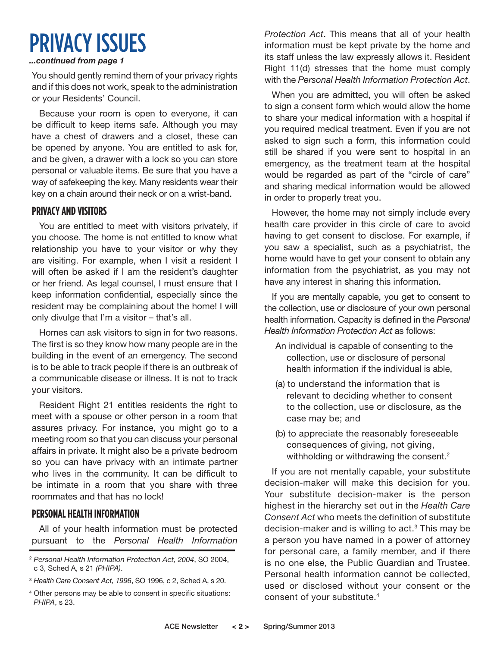### PRIVACY ISSUES

#### *...continued from page 1*

You should gently remind them of your privacy rights and if this does not work, speak to the administration or your Residents' Council.

Because your room is open to everyone, it can be difficult to keep items safe. Although you may have a chest of drawers and a closet, these can be opened by anyone. You are entitled to ask for, and be given, a drawer with a lock so you can store personal or valuable items. Be sure that you have a way of safekeeping the key. Many residents wear their key on a chain around their neck or on a wrist-band.

#### **PRIVACY AND VISITORS**

You are entitled to meet with visitors privately, if you choose. The home is not entitled to know what relationship you have to your visitor or why they are visiting. For example, when I visit a resident I will often be asked if I am the resident's daughter or her friend. As legal counsel, I must ensure that I keep information confidential, especially since the resident may be complaining about the home! I will only divulge that I'm a visitor – that's all.

Homes can ask visitors to sign in for two reasons. The first is so they know how many people are in the building in the event of an emergency. The second is to be able to track people if there is an outbreak of a communicable disease or illness. It is not to track your visitors.

Resident Right 21 entitles residents the right to meet with a spouse or other person in a room that assures privacy. For instance, you might go to a meeting room so that you can discuss your personal affairs in private. It might also be a private bedroom so you can have privacy with an intimate partner who lives in the community. It can be difficult to be intimate in a room that you share with three roommates and that has no lock!

#### **PERSONAL HEALTH INFORMATION**

All of your health information must be protected pursuant to the *Personal Health Information*  *Protection Act*. This means that all of your health information must be kept private by the home and its staff unless the law expressly allows it. Resident Right 11(d) stresses that the home must comply with the *Personal Health Information Protection Act*.

When you are admitted, you will often be asked to sign a consent form which would allow the home to share your medical information with a hospital if you required medical treatment. Even if you are not asked to sign such a form, this information could still be shared if you were sent to hospital in an emergency, as the treatment team at the hospital would be regarded as part of the "circle of care" and sharing medical information would be allowed in order to properly treat you.

However, the home may not simply include every health care provider in this circle of care to avoid having to get consent to disclose. For example, if you saw a specialist, such as a psychiatrist, the home would have to get your consent to obtain any information from the psychiatrist, as you may not have any interest in sharing this information.

If you are mentally capable, you get to consent to the collection, use or disclosure of your own personal health information. Capacity is defined in the *Personal Health Information Protection Act* as follows:

- An individual is capable of consenting to the collection, use or disclosure of personal health information if the individual is able,
- (a) to understand the information that is relevant to deciding whether to consent to the collection, use or disclosure, as the case may be; and
- (b) to appreciate the reasonably foreseeable consequences of giving, not giving, withholding or withdrawing the consent.<sup>2</sup>

If you are not mentally capable, your substitute decision-maker will make this decision for you. Your substitute decision-maker is the person highest in the hierarchy set out in the *Health Care Consent Act* who meets the definition of substitute decision-maker and is willing to  $act.^3$  This may be a person you have named in a power of attorney for personal care, a family member, and if there is no one else, the Public Guardian and Trustee. Personal health information cannot be collected, used or disclosed without your consent or the consent of your substitute.4

<sup>2</sup> *Personal Health Information Protection Act, 2004*, SO 2004, c 3, Sched A, s 21 *(PHIPA)*.

<sup>3</sup> *Health Care Consent Act, 1996*, SO 1996, c 2, Sched A, s 20.

<sup>4</sup> Other persons may be able to consent in specific situations: *PHIPA*, s 23.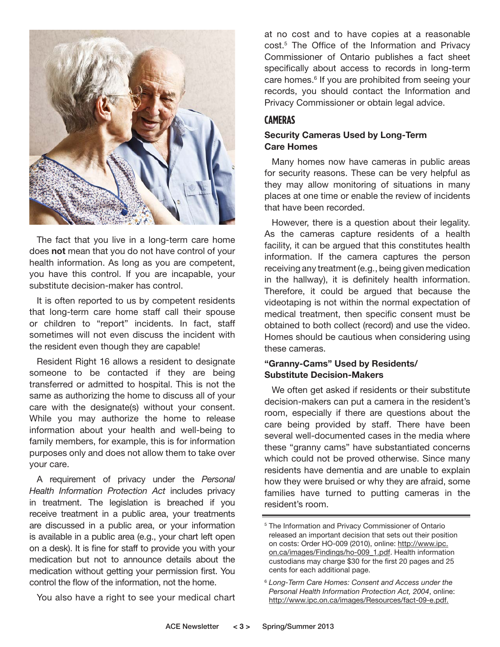

The fact that you live in a long-term care home does **not** mean that you do not have control of your health information. As long as you are competent, you have this control. If you are incapable, your substitute decision-maker has control.

It is often reported to us by competent residents that long-term care home staff call their spouse or children to "report" incidents. In fact, staff sometimes will not even discuss the incident with the resident even though they are capable!

Resident Right 16 allows a resident to designate someone to be contacted if they are being transferred or admitted to hospital. This is not the same as authorizing the home to discuss all of your care with the designate(s) without your consent. While you may authorize the home to release information about your health and well-being to family members, for example, this is for information purposes only and does not allow them to take over your care.

A requirement of privacy under the *Personal Health Information Protection Act* includes privacy in treatment. The legislation is breached if you receive treatment in a public area, your treatments are discussed in a public area, or your information is available in a public area (e.g., your chart left open on a desk). It is fine for staff to provide you with your medication but not to announce details about the medication without getting your permission first. You control the flow of the information, not the home.

You also have a right to see your medical chart

at no cost and to have copies at a reasonable cost.5 The Office of the Information and Privacy Commissioner of Ontario publishes a fact sheet specifically about access to records in long-term care homes.<sup>6</sup> If you are prohibited from seeing your records, you should contact the Information and Privacy Commissioner or obtain legal advice.

#### **CAMERAS**

#### **Security Cameras Used by Long-Term Care Homes**

Many homes now have cameras in public areas for security reasons. These can be very helpful as they may allow monitoring of situations in many places at one time or enable the review of incidents that have been recorded.

However, there is a question about their legality. As the cameras capture residents of a health facility, it can be argued that this constitutes health information. If the camera captures the person receiving any treatment (e.g., being given medication in the hallway), it is definitely health information. Therefore, it could be argued that because the videotaping is not within the normal expectation of medical treatment, then specific consent must be obtained to both collect (record) and use the video. Homes should be cautious when considering using these cameras.

#### **"Granny-Cams" Used by Residents/ Substitute Decision-Makers**

We often get asked if residents or their substitute decision-makers can put a camera in the resident's room, especially if there are questions about the care being provided by staff. There have been several well-documented cases in the media where these "granny cams" have substantiated concerns which could not be proved otherwise. Since many residents have dementia and are unable to explain how they were bruised or why they are afraid, some families have turned to putting cameras in the resident's room.

<sup>&</sup>lt;sup>5</sup> The Information and Privacy Commissioner of Ontario released an important decision that sets out their position on costs: Order HO-009 (2010), online: http://www.ipc. on.ca/images/Findings/ho-009\_1.pdf. Health information custodians may charge \$30 for the first 20 pages and 25 cents for each additional page.

<sup>6</sup> *Long-Term Care Homes: Consent and Access under the Personal Health Information Protection Act, 2004*, online: http://www.ipc.on.ca/images/Resources/fact-09-e.pdf.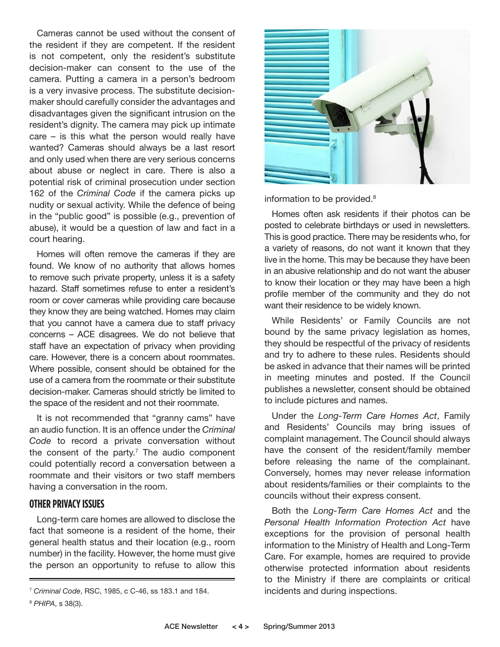Cameras cannot be used without the consent of the resident if they are competent. If the resident is not competent, only the resident's substitute decision-maker can consent to the use of the camera. Putting a camera in a person's bedroom is a very invasive process. The substitute decisionmaker should carefully consider the advantages and disadvantages given the significant intrusion on the resident's dignity. The camera may pick up intimate care – is this what the person would really have wanted? Cameras should always be a last resort and only used when there are very serious concerns about abuse or neglect in care. There is also a potential risk of criminal prosecution under section 162 of the *Criminal Code* if the camera picks up nudity or sexual activity. While the defence of being in the "public good" is possible (e.g., prevention of abuse), it would be a question of law and fact in a court hearing.

Homes will often remove the cameras if they are found. We know of no authority that allows homes to remove such private property, unless it is a safety hazard. Staff sometimes refuse to enter a resident's room or cover cameras while providing care because they know they are being watched. Homes may claim that you cannot have a camera due to staff privacy concerns – ACE disagrees. We do not believe that staff have an expectation of privacy when providing care. However, there is a concern about roommates. Where possible, consent should be obtained for the use of a camera from the roommate or their substitute decision-maker. Cameras should strictly be limited to the space of the resident and not their roommate.

It is not recommended that "granny cams" have an audio function. It is an offence under the *Criminal Code* to record a private conversation without the consent of the party.<sup>7</sup> The audio component could potentially record a conversation between a roommate and their visitors or two staff members having a conversation in the room.

#### **OTHER PRIVACY ISSUES**

Long-term care homes are allowed to disclose the fact that someone is a resident of the home, their general health status and their location (e.g., room number) in the facility. However, the home must give the person an opportunity to refuse to allow this



information to be provided.<sup>8</sup>

Homes often ask residents if their photos can be posted to celebrate birthdays or used in newsletters. This is good practice. There may be residents who, for a variety of reasons, do not want it known that they live in the home. This may be because they have been in an abusive relationship and do not want the abuser to know their location or they may have been a high profile member of the community and they do not want their residence to be widely known.

While Residents' or Family Councils are not bound by the same privacy legislation as homes, they should be respectful of the privacy of residents and try to adhere to these rules. Residents should be asked in advance that their names will be printed in meeting minutes and posted. If the Council publishes a newsletter, consent should be obtained to include pictures and names.

Under the *Long-Term Care Homes Act*, Family and Residents' Councils may bring issues of complaint management. The Council should always have the consent of the resident/family member before releasing the name of the complainant. Conversely, homes may never release information about residents/families or their complaints to the councils without their express consent.

Both the *Long-Term Care Homes Act* and the *Personal Health Information Protection Act* have exceptions for the provision of personal health information to the Ministry of Health and Long-Term Care. For example, homes are required to provide otherwise protected information about residents to the Ministry if there are complaints or critical

<sup>&</sup>lt;sup>7</sup> Criminal Code, RSC, 1985, c C-46, ss 183.1 and 184. *incidents and during inspections*.

<sup>8</sup> *PHIPA*, s 38(3).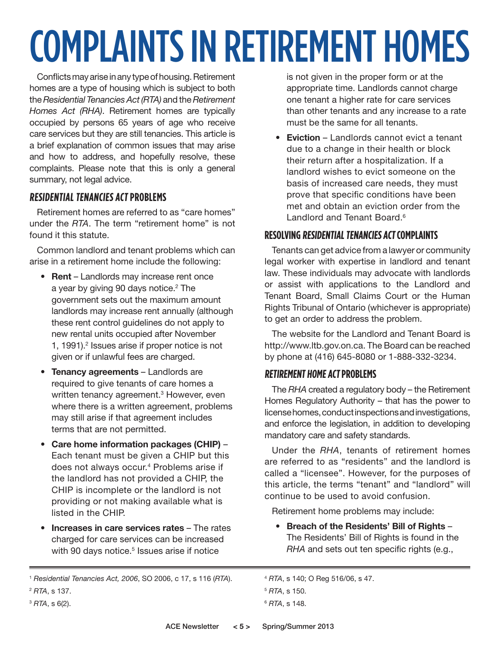# COMPLAINTS IN RETIREMENT HOMES

Conflicts may arise in any type of housing. Retirement homes are a type of housing which is subject to both the *Residential Tenancies Act (RTA)* and the *Retirement Homes Act (RHA)*. Retirement homes are typically occupied by persons 65 years of age who receive care services but they are still tenancies. This article is a brief explanation of common issues that may arise and how to address, and hopefully resolve, these complaints. Please note that this is only a general summary, not legal advice.

#### **RESIDENTIAL TENANCIES ACT PROBLEMS**

Retirement homes are referred to as "care homes" under the *RTA*. The term "retirement home" is not found it this statute.

Common landlord and tenant problems which can arise in a retirement home include the following:

- **Rent** Landlords may increase rent once a year by giving 90 days notice.<sup>2</sup> The government sets out the maximum amount landlords may increase rent annually (although these rent control guidelines do not apply to new rental units occupied after November 1, 1991).<sup>2</sup> Issues arise if proper notice is not given or if unlawful fees are charged.
- **Tenancy agreements**  Landlords are required to give tenants of care homes a written tenancy agreement.<sup>3</sup> However, even where there is a written agreement, problems may still arise if that agreement includes terms that are not permitted.
- **Care home information packages (CHIP)** Each tenant must be given a CHIP but this does not always occur.<sup>4</sup> Problems arise if the landlord has not provided a CHIP, the CHIP is incomplete or the landlord is not providing or not making available what is listed in the CHIP.
- **Increases in care services rates** The rates charged for care services can be increased with 90 days notice.<sup>5</sup> Issues arise if notice

is not given in the proper form or at the appropriate time. Landlords cannot charge one tenant a higher rate for care services than other tenants and any increase to a rate must be the same for all tenants.

• **Eviction** – Landlords cannot evict a tenant due to a change in their health or block their return after a hospitalization. If a landlord wishes to evict someone on the basis of increased care needs, they must prove that specific conditions have been met and obtain an eviction order from the Landlord and Tenant Board.<sup>6</sup>

#### **RESOLVING RESIDENTIAL TENANCIES ACT COMPLAINTS**

Tenants can get advice from a lawyer or community legal worker with expertise in landlord and tenant law. These individuals may advocate with landlords or assist with applications to the Landlord and Tenant Board, Small Claims Court or the Human Rights Tribunal of Ontario (whichever is appropriate) to get an order to address the problem.

The website for the Landlord and Tenant Board is http://www.ltb.gov.on.ca. The Board can be reached by phone at (416) 645-8080 or 1-888-332-3234.

#### **RETIREMENT HOME ACT PROBLEMS**

The *RHA* created a regulatory body – the Retirement Homes Regulatory Authority – that has the power to license homes, conduct inspections and investigations, and enforce the legislation, in addition to developing mandatory care and safety standards.

Under the *RHA*, tenants of retirement homes are referred to as "residents" and the landlord is called a "licensee". However, for the purposes of this article, the terms "tenant" and "landlord" will continue to be used to avoid confusion.

Retirement home problems may include:

• **Breach of the Residents' Bill of Rights** – The Residents' Bill of Rights is found in the *RHA* and sets out ten specific rights (e.g.,

<sup>3</sup> *RTA*, s 6(2).

<sup>4</sup> *RTA*, s 140; O Reg 516/06, s 47.

<sup>1</sup> *Residential Tenancies Act, 2006*, SO 2006, c 17, s 116 (*RTA*).

<sup>2</sup> *RTA*, s 137.

<sup>5</sup> *RTA*, s 150.

<sup>6</sup> *RTA*, s 148.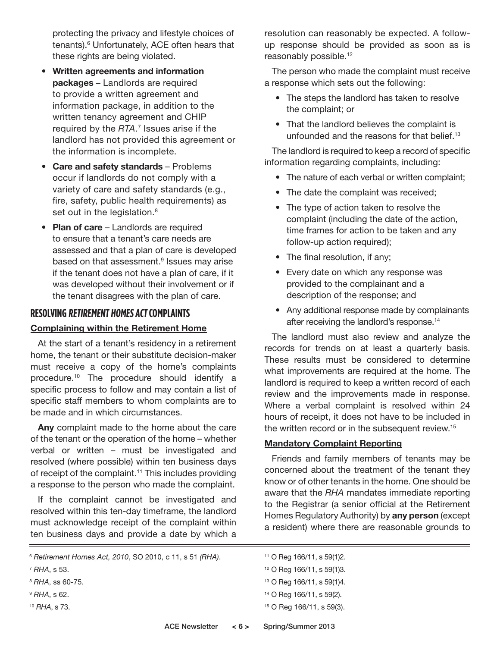protecting the privacy and lifestyle choices of tenants).6 Unfortunately, ACE often hears that these rights are being violated.

- **Written agreements and information packages** – Landlords are required to provide a written agreement and information package, in addition to the written tenancy agreement and CHIP required by the *RTA*. 7 Issues arise if the landlord has not provided this agreement or the information is incomplete.
- **Care and safety standards** Problems occur if landlords do not comply with a variety of care and safety standards (e.g., fire, safety, public health requirements) as set out in the legislation.<sup>8</sup>
- **Plan of care** Landlords are required to ensure that a tenant's care needs are assessed and that a plan of care is developed based on that assessment.<sup>9</sup> Issues may arise if the tenant does not have a plan of care, if it was developed without their involvement or if the tenant disagrees with the plan of care.

### **RESOLVING RETIREMENT HOMES ACT COMPLAINTS**

#### **Complaining within the Retirement Home**

At the start of a tenant's residency in a retirement home, the tenant or their substitute decision-maker must receive a copy of the home's complaints procedure.10 The procedure should identify a specific process to follow and may contain a list of specific staff members to whom complaints are to be made and in which circumstances.

**Any** complaint made to the home about the care of the tenant or the operation of the home – whether verbal or written – must be investigated and resolved (where possible) within ten business days of receipt of the complaint.<sup>11</sup> This includes providing a response to the person who made the complaint.

If the complaint cannot be investigated and resolved within this ten-day timeframe, the landlord must acknowledge receipt of the complaint within ten business days and provide a date by which a

- <sup>8</sup> *RHA*, ss 60-75.
- <sup>9</sup> *RHA*, s 62.
- <sup>10</sup> *RHA*, s 73.

resolution can reasonably be expected. A followup response should be provided as soon as is reasonably possible.<sup>12</sup>

The person who made the complaint must receive a response which sets out the following:

- The steps the landlord has taken to resolve the complaint; or
- That the landlord believes the complaint is unfounded and the reasons for that belief.<sup>13</sup>

The landlord is required to keep a record of specific information regarding complaints, including:

- The nature of each verbal or written complaint;
- The date the complaint was received;
- The type of action taken to resolve the complaint (including the date of the action, time frames for action to be taken and any follow-up action required);
- The final resolution, if any;
- Every date on which any response was provided to the complainant and a description of the response; and
- Any additional response made by complainants after receiving the landlord's response.<sup>14</sup>

The landlord must also review and analyze the records for trends on at least a quarterly basis. These results must be considered to determine what improvements are required at the home. The landlord is required to keep a written record of each review and the improvements made in response. Where a verbal complaint is resolved within 24 hours of receipt, it does not have to be included in the written record or in the subsequent review.<sup>15</sup>

#### **Mandatory Complaint Reporting**

Friends and family members of tenants may be concerned about the treatment of the tenant they know or of other tenants in the home. One should be aware that the *RHA* mandates immediate reporting to the Registrar (a senior official at the Retirement Homes Regulatory Authority) by **any person** (except a resident) where there are reasonable grounds to

- 13 O Reg 166/11, s 59(1)4.
- 14 O Reg 166/11, s 59(2).
- 15 O Reg 166/11, s 59(3).

<sup>6</sup> *Retirement Homes Act, 2010*, SO 2010, c 11, s 51 *(RHA)*.

<sup>7</sup> *RHA*, s 53.

<sup>11</sup> O Reg 166/11, s 59(1)2.

<sup>12</sup> O Reg 166/11, s 59(1)3.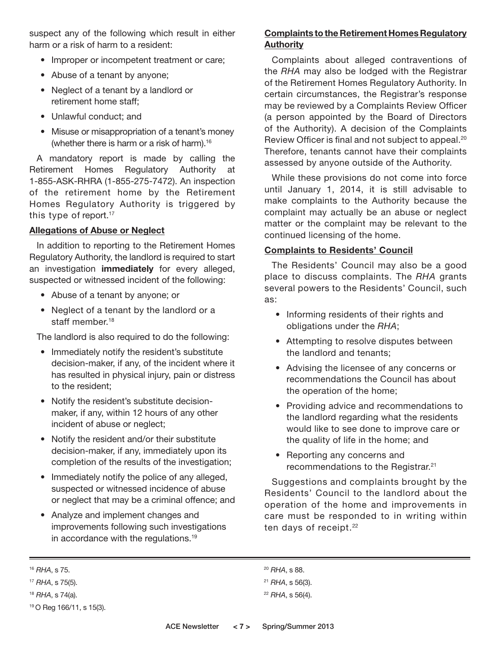suspect any of the following which result in either harm or a risk of harm to a resident:

- Improper or incompetent treatment or care;
- Abuse of a tenant by anyone;
- Neglect of a tenant by a landlord or retirement home staff;
- Unlawful conduct; and
- Misuse or misappropriation of a tenant's money (whether there is harm or a risk of harm).<sup>16</sup>

A mandatory report is made by calling the Retirement Homes Regulatory Authority at 1-855-ASK-RHRA (1-855-275-7472). An inspection of the retirement home by the Retirement Homes Regulatory Authority is triggered by this type of report.<sup>17</sup>

#### **Allegations of Abuse or Neglect**

In addition to reporting to the Retirement Homes Regulatory Authority, the landlord is required to start an investigation **immediately** for every alleged, suspected or witnessed incident of the following:

- Abuse of a tenant by anyone; or
- Neglect of a tenant by the landlord or a staff member.<sup>18</sup>

The landlord is also required to do the following:

- Immediately notify the resident's substitute decision-maker, if any, of the incident where it has resulted in physical injury, pain or distress to the resident;
- Notify the resident's substitute decisionmaker, if any, within 12 hours of any other incident of abuse or neglect;
- Notify the resident and/or their substitute decision-maker, if any, immediately upon its completion of the results of the investigation;
- Immediately notify the police of any alleged, suspected or witnessed incidence of abuse or neglect that may be a criminal offence; and
- Analyze and implement changes and improvements following such investigations in accordance with the regulations.19

#### **Complaints to the Retirement Homes Regulatory Authority**

Complaints about alleged contraventions of the *RHA* may also be lodged with the Registrar of the Retirement Homes Regulatory Authority. In certain circumstances, the Registrar's response may be reviewed by a Complaints Review Officer (a person appointed by the Board of Directors of the Authority). A decision of the Complaints Review Officer is final and not subject to appeal.<sup>20</sup> Therefore, tenants cannot have their complaints assessed by anyone outside of the Authority.

While these provisions do not come into force until January 1, 2014, it is still advisable to make complaints to the Authority because the complaint may actually be an abuse or neglect matter or the complaint may be relevant to the continued licensing of the home.

#### **Complaints to Residents' Council**

The Residents' Council may also be a good place to discuss complaints. The *RHA* grants several powers to the Residents' Council, such as:

- Informing residents of their rights and obligations under the *RHA*;
- Attempting to resolve disputes between the landlord and tenants;
- Advising the licensee of any concerns or recommendations the Council has about the operation of the home;
- Providing advice and recommendations to the landlord regarding what the residents would like to see done to improve care or the quality of life in the home; and
- Reporting any concerns and recommendations to the Registrar.<sup>21</sup>

Suggestions and complaints brought by the Residents' Council to the landlord about the operation of the home and improvements in care must be responded to in writing within ten days of receipt.<sup>22</sup>

<sup>18</sup> *RHA*, s 74(a).

<sup>20</sup> *RHA*, s 88.

<sup>16</sup> *RHA*, s 75.

<sup>17</sup> *RHA*, s 75(5).

<sup>19</sup> O Reg 166/11, s 15(3).

<sup>21</sup> *RHA*, s 56(3).

<sup>22</sup> *RHA*, s 56(4).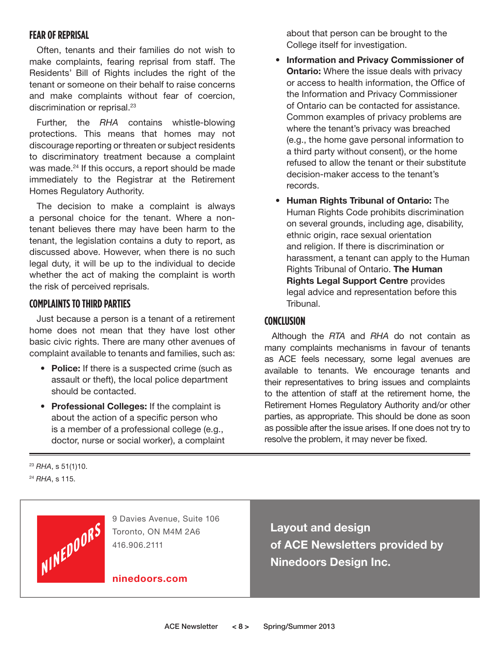#### **FEAR OF REPRISAL**

Often, tenants and their families do not wish to make complaints, fearing reprisal from staff. The Residents' Bill of Rights includes the right of the tenant or someone on their behalf to raise concerns and make complaints without fear of coercion, discrimination or reprisal.<sup>23</sup>

Further, the *RHA* contains whistle-blowing protections. This means that homes may not discourage reporting or threaten or subject residents to discriminatory treatment because a complaint was made.<sup>24</sup> If this occurs, a report should be made immediately to the Registrar at the Retirement Homes Regulatory Authority.

The decision to make a complaint is always a personal choice for the tenant. Where a nontenant believes there may have been harm to the tenant, the legislation contains a duty to report, as discussed above. However, when there is no such legal duty, it will be up to the individual to decide whether the act of making the complaint is worth the risk of perceived reprisals.

#### **COMPLAINTS TO THIRD PARTIES**

Just because a person is a tenant of a retirement home does not mean that they have lost other basic civic rights. There are many other avenues of complaint available to tenants and families, such as:

- **Police:** If there is a suspected crime (such as assault or theft), the local police department should be contacted.
- **Professional Colleges:** If the complaint is about the action of a specific person who is a member of a professional college (e.g., doctor, nurse or social worker), a complaint

about that person can be brought to the College itself for investigation.

- **Information and Privacy Commissioner of Ontario:** Where the issue deals with privacy or access to health information, the Office of the Information and Privacy Commissioner of Ontario can be contacted for assistance. Common examples of privacy problems are where the tenant's privacy was breached (e.g., the home gave personal information to a third party without consent), or the home refused to allow the tenant or their substitute decision-maker access to the tenant's records.
- **Human Rights Tribunal of Ontario:** The Human Rights Code prohibits discrimination on several grounds, including age, disability, ethnic origin, race sexual orientation and religion. If there is discrimination or harassment, a tenant can apply to the Human Rights Tribunal of Ontario. **The Human Rights Legal Support Centre** provides legal advice and representation before this Tribunal.

#### **CONCLUSION**

Although the *RTA* and *RHA* do not contain as many complaints mechanisms in favour of tenants as ACE feels necessary, some legal avenues are available to tenants. We encourage tenants and their representatives to bring issues and complaints to the attention of staff at the retirement home, the Retirement Homes Regulatory Authority and/or other parties, as appropriate. This should be done as soon as possible after the issue arises. If one does not try to resolve the problem, it may never be fixed.

<sup>23</sup> *RHA*, s 51(1)10. <sup>24</sup> *RHA*, s 115.



9 Davies Avenue, Suite 106 Toronto, ON M4M 2A6 416.906.2111

**ninedoors.com**

**Layout and design of ACE Newsletters provided by Ninedoors Design Inc.**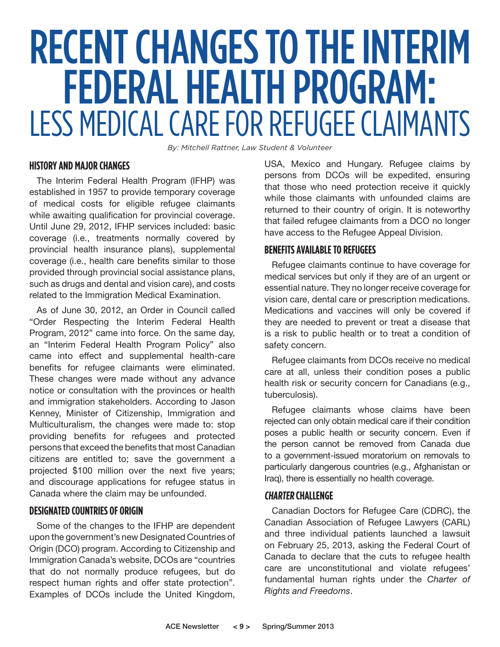# RECENT CHANGES TO THE INTERIM FEDERAL HEALTH PROGRAM: LESS MEDICAL CARE FOR REFUGEE CLAIMANTS

*By: Mitchell Rattner, Law Student & Volunteer*

#### **HISTORY AND MAJOR CHANGES**

The Interim Federal Health Program (IFHP) was established in 1957 to provide temporary coverage of medical costs for eligible refugee claimants while awaiting qualification for provincial coverage. Until June 29, 2012, IFHP services included: basic coverage (i.e., treatments normally covered by provincial health insurance plans), supplemental coverage (i.e., health care benefits similar to those provided through provincial social assistance plans, such as drugs and dental and vision care), and costs related to the Immigration Medical Examination.

As of June 30, 2012, an Order in Council called "Order Respecting the Interim Federal Health Program, 2012" came into force. On the same day, an "Interim Federal Health Program Policy" also came into effect and supplemental health-care benefits for refugee claimants were eliminated. These changes were made without any advance notice or consultation with the provinces or health and immigration stakeholders. According to Jason Kenney, Minister of Citizenship, Immigration and Multiculturalism, the changes were made to: stop providing benefits for refugees and protected persons that exceed the benefits that most Canadian citizens are entitled to; save the government a projected \$100 million over the next five years; and discourage applications for refugee status in Canada where the claim may be unfounded.

#### **DESIGNATED COUNTRIES OF ORIGIN**

Some of the changes to the IFHP are dependent upon the government's new Designated Countries of Origin (DCO) program. According to Citizenship and Immigration Canada's website, DCOs are "countries that do not normally produce refugees, but do respect human rights and offer state protection". Examples of DCOs include the United Kingdom, USA, Mexico and Hungary. Refugee claims by persons from DCOs will be expedited, ensuring that those who need protection receive it quickly while those claimants with unfounded claims are returned to their country of origin. It is noteworthy that failed refugee claimants from a DCO no longer have access to the Refugee Appeal Division.

#### **BENEFITS AVAILABLE TO REFUGEES**

Refugee claimants continue to have coverage for medical services but only if they are of an urgent or essential nature. They no longer receive coverage for vision care, dental care or prescription medications. Medications and vaccines will only be covered if they are needed to prevent or treat a disease that is a risk to public health or to treat a condition of safety concern.

Refugee claimants from DCOs receive no medical care at all, unless their condition poses a public health risk or security concern for Canadians (e.g., tuberculosis).

Refugee claimants whose claims have been rejected can only obtain medical care if their condition poses a public health or security concern. Even if the person cannot be removed from Canada due to a government-issued moratorium on removals to particularly dangerous countries (e.g., Afghanistan or Iraq), there is essentially no health coverage.

#### **CHARTER CHALLENGE**

Canadian Doctors for Refugee Care (CDRC), the Canadian Association of Refugee Lawyers (CARL) and three individual patients launched a lawsuit on February 25, 2013, asking the Federal Court of Canada to declare that the cuts to refugee health care are unconstitutional and violate refugees' fundamental human rights under the *Charter of Rights and Freedoms*.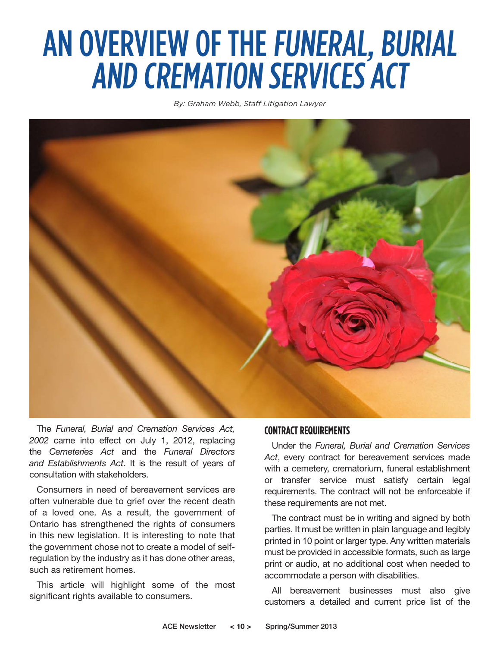# AN OVERVIEW OF THE FUNERAL, BURIAL AND CREMATION SERVICES ACT

*By: Graham Webb, Staff Litigation Lawyer*



The *Funeral, Burial and Cremation Services Act, 2002* came into effect on July 1, 2012, replacing the *Cemeteries Act* and the *Funeral Directors and Establishments Act*. It is the result of years of consultation with stakeholders.

Consumers in need of bereavement services are often vulnerable due to grief over the recent death of a loved one. As a result, the government of Ontario has strengthened the rights of consumers in this new legislation. It is interesting to note that the government chose not to create a model of selfregulation by the industry as it has done other areas, such as retirement homes.

This article will highlight some of the most significant rights available to consumers.

#### **CONTRACT REQUIREMENTS**

Under the *Funeral, Burial and Cremation Services Act*, every contract for bereavement services made with a cemetery, crematorium, funeral establishment or transfer service must satisfy certain legal requirements. The contract will not be enforceable if these requirements are not met.

The contract must be in writing and signed by both parties. It must be written in plain language and legibly printed in 10 point or larger type. Any written materials must be provided in accessible formats, such as large print or audio, at no additional cost when needed to accommodate a person with disabilities.

All bereavement businesses must also give customers a detailed and current price list of the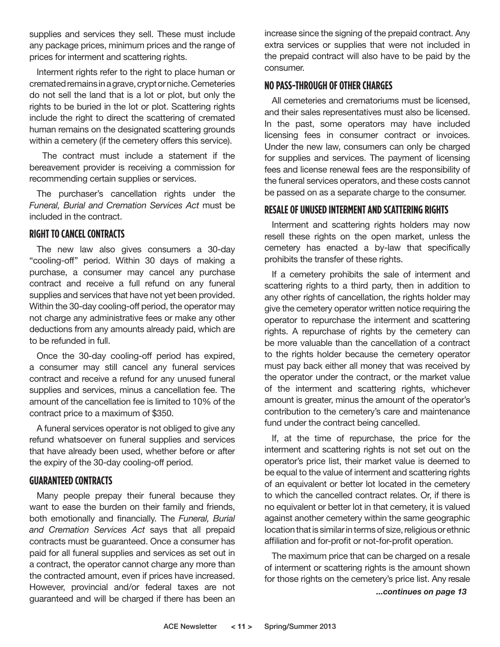supplies and services they sell. These must include any package prices, minimum prices and the range of prices for interment and scattering rights.

Interment rights refer to the right to place human or cremated remains in a grave, crypt or niche. Cemeteries do not sell the land that is a lot or plot, but only the rights to be buried in the lot or plot. Scattering rights include the right to direct the scattering of cremated human remains on the designated scattering grounds within a cemetery (if the cemetery offers this service).

 The contract must include a statement if the bereavement provider is receiving a commission for recommending certain supplies or services.

The purchaser's cancellation rights under the *Funeral, Burial and Cremation Services Act* must be included in the contract.

#### **RIGHT TO CANCEL CONTRACTS**

The new law also gives consumers a 30-day "cooling-off'' period. Within 30 days of making a purchase, a consumer may cancel any purchase contract and receive a full refund on any funeral supplies and services that have not yet been provided. Within the 30-day cooling-off period, the operator may not charge any administrative fees or make any other deductions from any amounts already paid, which are to be refunded in full.

Once the 30-day cooling-off period has expired, a consumer may still cancel any funeral services contract and receive a refund for any unused funeral supplies and services, minus a cancellation fee. The amount of the cancellation fee is limited to 10% of the contract price to a maximum of \$350.

A funeral services operator is not obliged to give any refund whatsoever on funeral supplies and services that have already been used, whether before or after the expiry of the 30-day cooling-off period.

#### **GUARANTEED CONTRACTS**

Many people prepay their funeral because they want to ease the burden on their family and friends, both emotionally and financially. The *Funeral, Burial and Cremation Services Act* says that all prepaid contracts must be guaranteed. Once a consumer has paid for all funeral supplies and services as set out in a contract, the operator cannot charge any more than the contracted amount, even if prices have increased. However, provincial and/or federal taxes are not guaranteed and will be charged if there has been an

increase since the signing of the prepaid contract. Any extra services or supplies that were not included in the prepaid contract will also have to be paid by the consumer.

#### **NO PASS-THROUGH OF OTHER CHARGES**

All cemeteries and crematoriums must be licensed, and their sales representatives must also be licensed. In the past, some operators may have included licensing fees in consumer contract or invoices. Under the new law, consumers can only be charged for supplies and services. The payment of licensing fees and license renewal fees are the responsibility of the funeral services operators, and these costs cannot be passed on as a separate charge to the consumer.

#### **RESALE OF UNUSED INTERMENT AND SCATTERING RIGHTS**

Interment and scattering rights holders may now resell these rights on the open market, unless the cemetery has enacted a by-law that specifically prohibits the transfer of these rights.

If a cemetery prohibits the sale of interment and scattering rights to a third party, then in addition to any other rights of cancellation, the rights holder may give the cemetery operator written notice requiring the operator to repurchase the interment and scattering rights. A repurchase of rights by the cemetery can be more valuable than the cancellation of a contract to the rights holder because the cemetery operator must pay back either all money that was received by the operator under the contract, or the market value of the interment and scattering rights, whichever amount is greater, minus the amount of the operator's contribution to the cemetery's care and maintenance fund under the contract being cancelled.

If, at the time of repurchase, the price for the interment and scattering rights is not set out on the operator's price list, their market value is deemed to be equal to the value of interment and scattering rights of an equivalent or better lot located in the cemetery to which the cancelled contract relates. Or, if there is no equivalent or better lot in that cemetery, it is valued against another cemetery within the same geographic location that is similar in terms of size, religious or ethnic affiliation and for-profit or not-for-profit operation.

The maximum price that can be charged on a resale of interment or scattering rights is the amount shown for those rights on the cemetery's price list. Any resale *...continues on page 13*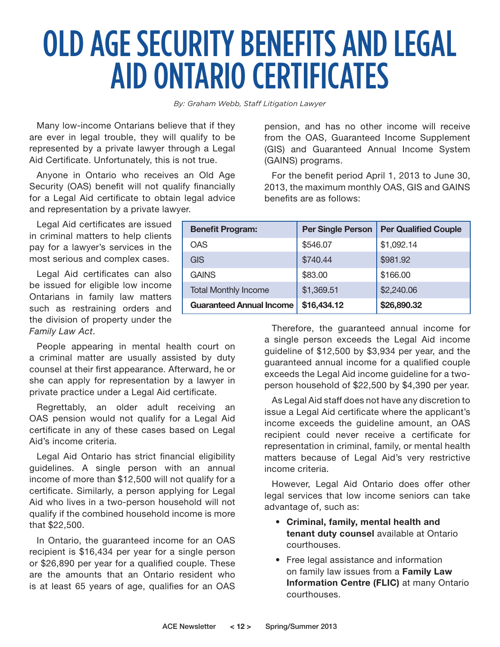# OLD AGE SECURITY BENEFITS AND LEGAL AID ONTARIO CERTIFICATES

*By: Graham Webb, Staff Litigation Lawyer*

Many low-income Ontarians believe that if they are ever in legal trouble, they will qualify to be represented by a private lawyer through a Legal Aid Certificate. Unfortunately, this is not true.

Anyone in Ontario who receives an Old Age Security (OAS) benefit will not qualify financially for a Legal Aid certificate to obtain legal advice and representation by a private lawyer.

Legal Aid certificates are issued in criminal matters to help clients pay for a lawyer's services in the most serious and complex cases.

Legal Aid certificates can also be issued for eligible low income Ontarians in family law matters such as restraining orders and the division of property under the *Family Law Act*.

People appearing in mental health court on a criminal matter are usually assisted by duty counsel at their first appearance. Afterward, he or she can apply for representation by a lawyer in private practice under a Legal Aid certificate.

Regrettably, an older adult receiving an OAS pension would not qualify for a Legal Aid certificate in any of these cases based on Legal Aid's income criteria.

Legal Aid Ontario has strict financial eligibility guidelines. A single person with an annual income of more than \$12,500 will not qualify for a certificate. Similarly, a person applying for Legal Aid who lives in a two-person household will not qualify if the combined household income is more that \$22,500.

In Ontario, the guaranteed income for an OAS recipient is \$16,434 per year for a single person or \$26,890 per year for a qualified couple. These are the amounts that an Ontario resident who is at least 65 years of age, qualifies for an OAS

pension, and has no other income will receive from the OAS, Guaranteed Income Supplement (GIS) and Guaranteed Annual Income System (GAINS) programs.

For the benefit period April 1, 2013 to June 30, 2013, the maximum monthly OAS, GIS and GAINS benefits are as follows:

| <b>Benefit Program:</b>         | <b>Per Single Person</b> | <b>Per Qualified Couple</b> |
|---------------------------------|--------------------------|-----------------------------|
| <b>OAS</b>                      | \$546.07                 | \$1,092.14                  |
| <b>GIS</b>                      | \$740.44                 | \$981.92                    |
| <b>GAINS</b>                    | \$83.00                  | \$166.00                    |
| <b>Total Monthly Income</b>     | \$1,369.51               | \$2,240.06                  |
| <b>Guaranteed Annual Income</b> | \$16,434.12              | \$26,890.32                 |

Therefore, the guaranteed annual income for a single person exceeds the Legal Aid income guideline of \$12,500 by \$3,934 per year, and the guaranteed annual income for a qualified couple exceeds the Legal Aid income guideline for a twoperson household of \$22,500 by \$4,390 per year.

As Legal Aid staff does not have any discretion to issue a Legal Aid certificate where the applicant's income exceeds the guideline amount, an OAS recipient could never receive a certificate for representation in criminal, family, or mental health matters because of Legal Aid's very restrictive income criteria.

However, Legal Aid Ontario does offer other legal services that low income seniors can take advantage of, such as:

- **Criminal, family, mental health and tenant duty counsel** available at Ontario courthouses.
- Free legal assistance and information on family law issues from a **Family Law Information Centre (FLIC)** at many Ontario courthouses.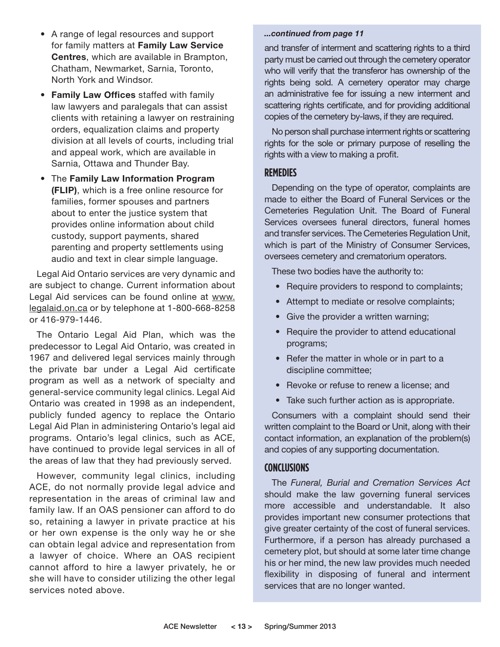- A range of legal resources and support for family matters at **Family Law Service Centres**, which are available in Brampton, Chatham, Newmarket, Sarnia, Toronto, North York and Windsor.
- **Family Law Offices** staffed with family law lawyers and paralegals that can assist clients with retaining a lawyer on restraining orders, equalization claims and property division at all levels of courts, including trial and appeal work, which are available in Sarnia, Ottawa and Thunder Bay.
- The **Family Law Information Program (FLIP)**, which is a free online resource for families, former spouses and partners about to enter the justice system that provides online information about child custody, support payments, shared parenting and property settlements using audio and text in clear simple language.

Legal Aid Ontario services are very dynamic and are subject to change. Current information about Legal Aid services can be found online at www. legalaid.on.ca or by telephone at 1-800-668-8258 or 416-979-1446.

The Ontario Legal Aid Plan, which was the predecessor to Legal Aid Ontario, was created in 1967 and delivered legal services mainly through the private bar under a Legal Aid certificate program as well as a network of specialty and general-service community legal clinics. Legal Aid Ontario was created in 1998 as an independent, publicly funded agency to replace the Ontario Legal Aid Plan in administering Ontario's legal aid programs. Ontario's legal clinics, such as ACE, have continued to provide legal services in all of the areas of law that they had previously served.

However, community legal clinics, including ACE, do not normally provide legal advice and representation in the areas of criminal law and family law. If an OAS pensioner can afford to do so, retaining a lawyer in private practice at his or her own expense is the only way he or she can obtain legal advice and representation from a lawyer of choice. Where an OAS recipient cannot afford to hire a lawyer privately, he or she will have to consider utilizing the other legal services noted above.

#### *...continued from page 11*

and transfer of interment and scattering rights to a third party must be carried out through the cemetery operator who will verify that the transferor has ownership of the rights being sold. A cemetery operator may charge an administrative fee for issuing a new interment and scattering rights certificate, and for providing additional copies of the cemetery by-laws, if they are required.

No person shall purchase interment rights or scattering rights for the sole or primary purpose of reselling the rights with a view to making a profit.

#### **REMEDIES**

Depending on the type of operator, complaints are made to either the Board of Funeral Services or the Cemeteries Regulation Unit. The Board of Funeral Services oversees funeral directors, funeral homes and transfer services. The Cemeteries Regulation Unit, which is part of the Ministry of Consumer Services, oversees cemetery and crematorium operators.

These two bodies have the authority to:

- Require providers to respond to complaints;
- Attempt to mediate or resolve complaints;
- Give the provider a written warning;
- Require the provider to attend educational programs;
- Refer the matter in whole or in part to a discipline committee;
- Revoke or refuse to renew a license; and
- Take such further action as is appropriate.

Consumers with a complaint should send their written complaint to the Board or Unit, along with their contact information, an explanation of the problem(s) and copies of any supporting documentation.

#### **CONCLUSIONS**

The *Funeral, Burial and Cremation Services Act* should make the law governing funeral services more accessible and understandable. It also provides important new consumer protections that give greater certainty of the cost of funeral services. Furthermore, if a person has already purchased a cemetery plot, but should at some later time change his or her mind, the new law provides much needed flexibility in disposing of funeral and interment services that are no longer wanted.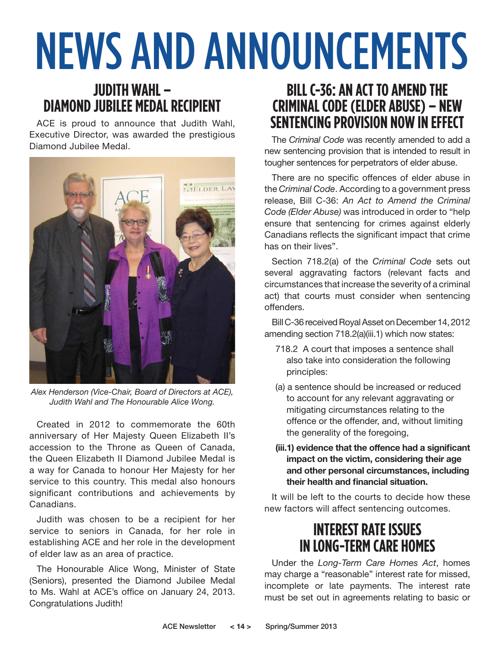# NEWS AND ANNOUNCEMENTS

### **JUDITH WAHL – DIAMOND JUBILEE MEDAL RECIPIENT**

ACE is proud to announce that Judith Wahl, Executive Director, was awarded the prestigious Diamond Jubilee Medal.



*Alex Henderson (Vice-Chair, Board of Directors at ACE), Judith Wahl and The Honourable Alice Wong.*

Created in 2012 to commemorate the 60th anniversary of Her Majesty Queen Elizabeth II's accession to the Throne as Queen of Canada, the Queen Elizabeth II Diamond Jubilee Medal is a way for Canada to honour Her Majesty for her service to this country. This medal also honours significant contributions and achievements by Canadians.

Judith was chosen to be a recipient for her service to seniors in Canada, for her role in establishing ACE and her role in the development of elder law as an area of practice.

The Honourable Alice Wong, Minister of State (Seniors), presented the Diamond Jubilee Medal to Ms. Wahl at ACE's office on January 24, 2013. Congratulations Judith!

### **BILL C-36: AN ACT TO AMEND THE CRIMINAL CODE (ELDER ABUSE) – NEW SENTENCING PROVISION NOW IN EFFECT**

The *Criminal Code* was recently amended to add a new sentencing provision that is intended to result in tougher sentences for perpetrators of elder abuse.

There are no specific offences of elder abuse in the *Criminal Code*. According to a government press release, Bill C-36: *An Act to Amend the Criminal Code (Elder Abuse)* was introduced in order to "help ensure that sentencing for crimes against elderly Canadians reflects the significant impact that crime has on their lives".

Section 718.2(a) of the *Criminal Code* sets out several aggravating factors (relevant facts and circumstances that increase the severity of a criminal act) that courts must consider when sentencing offenders.

Bill C-36 received Royal Asset on December 14, 2012 amending section 718.2(a)(iii.1) which now states:

- 718.2 A court that imposes a sentence shall also take into consideration the following principles:
- (a) a sentence should be increased or reduced to account for any relevant aggravating or mitigating circumstances relating to the offence or the offender, and, without limiting the generality of the foregoing,
- **(iii.1) evidence that the offence had a significant impact on the victim, considering their age and other personal circumstances, including their health and financial situation.**

It will be left to the courts to decide how these new factors will affect sentencing outcomes.

### **INTEREST RATE ISSUES IN LONG-TERM CARE HOMES**

Under the *Long-Term Care Homes Act*, homes may charge a "reasonable" interest rate for missed, incomplete or late payments. The interest rate must be set out in agreements relating to basic or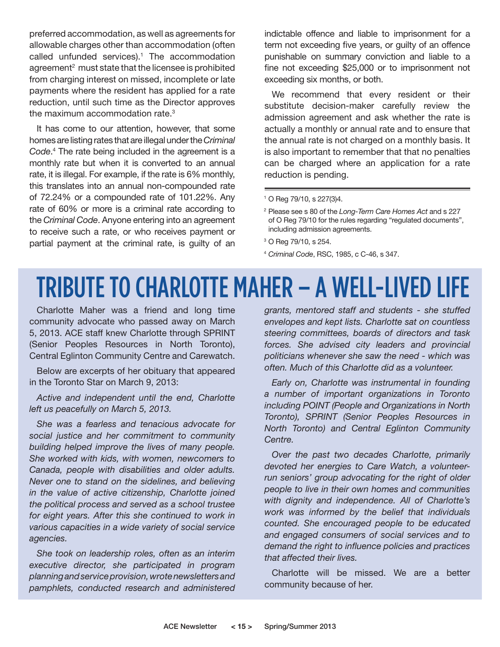preferred accommodation, as well as agreements for allowable charges other than accommodation (often called unfunded services). $1$  The accommodation agreement<sup>2</sup> must state that the licensee is prohibited from charging interest on missed, incomplete or late payments where the resident has applied for a rate reduction, until such time as the Director approves the maximum accommodation rate.<sup>3</sup>

It has come to our attention, however, that some homes are listing rates that are illegal under the *Criminal Code*. 4 The rate being included in the agreement is a monthly rate but when it is converted to an annual rate, it is illegal. For example, if the rate is 6% monthly, this translates into an annual non-compounded rate of 72.24% or a compounded rate of 101.22%. Any rate of 60% or more is a criminal rate according to the *Criminal Code*. Anyone entering into an agreement to receive such a rate, or who receives payment or partial payment at the criminal rate, is guilty of an

indictable offence and liable to imprisonment for a term not exceeding five years, or guilty of an offence punishable on summary conviction and liable to a fine not exceeding \$25,000 or to imprisonment not exceeding six months, or both.

We recommend that every resident or their substitute decision-maker carefully review the admission agreement and ask whether the rate is actually a monthly or annual rate and to ensure that the annual rate is not charged on a monthly basis. It is also important to remember that that no penalties can be charged where an application for a rate reduction is pending.

<sup>4</sup> *Criminal Code*, RSC, 1985, c C-46, s 347.

### TRIBUTE TO CHARLOTTE MAHER – A WELL-LIVED LIFE

Charlotte Maher was a friend and long time community advocate who passed away on March 5, 2013. ACE staff knew Charlotte through SPRINT (Senior Peoples Resources in North Toronto), Central Eglinton Community Centre and Carewatch.

Below are excerpts of her obituary that appeared in the Toronto Star on March 9, 2013:

#### *Active and independent until the end, Charlotte left us peacefully on March 5, 2013.*

*She was a fearless and tenacious advocate for social justice and her commitment to community building helped improve the lives of many people. She worked with kids, with women, newcomers to Canada, people with disabilities and older adults. Never one to stand on the sidelines, and believing in the value of active citizenship, Charlotte joined the political process and served as a school trustee for eight years. After this she continued to work in various capacities in a wide variety of social service agencies.* 

*She took on leadership roles, often as an interim executive director, she participated in program planning and service provision, wrote newsletters and pamphlets, conducted research and administered* 

*grants, mentored staff and students - she stuffed envelopes and kept lists. Charlotte sat on countless steering committees, boards of directors and task forces. She advised city leaders and provincial politicians whenever she saw the need - which was often. Much of this Charlotte did as a volunteer.* 

*Early on, Charlotte was instrumental in founding a number of important organizations in Toronto including POINT (People and Organizations in North Toronto), SPRINT (Senior Peoples Resources in North Toronto) and Central Eglinton Community Centre.* 

*Over the past two decades Charlotte, primarily devoted her energies to Care Watch, a volunteerrun seniors' group advocating for the right of older people to live in their own homes and communities with dignity and independence. All of Charlotte's work was informed by the belief that individuals counted. She encouraged people to be educated and engaged consumers of social services and to demand the right to influence policies and practices that affected their lives.*

Charlotte will be missed. We are a better community because of her.

<sup>1</sup> O Reg 79/10, s 227(3)4.

<sup>2</sup> Please see s 80 of the *Long-Term Care Homes Act* and s 227 of O Reg 79/10 for the rules regarding "regulated documents", including admission agreements.

<sup>&</sup>lt;sup>3</sup> O Reg 79/10, s 254.